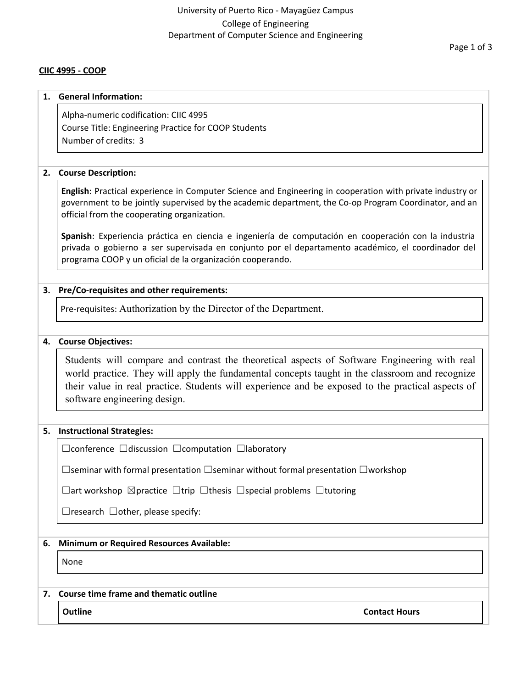## University of Puerto Rico - Mayagüez Campus College of Engineering Department of Computer Science and Engineering

### **CIIC 4995 - COOP**

#### **1. General Information:**

Alpha-numeric codification: CIIC 4995 Course Title: Engineering Practice for COOP Students Number of credits: 3

### **2. Course Description:**

**English**: Practical experience in Computer Science and Engineering in cooperation with private industry or government to be jointly supervised by the academic department, the Co-op Program Coordinator, and an official from the cooperating organization.

**Spanish**: Experiencia práctica en ciencia e ingeniería de computación en cooperación con la industria privada o gobierno a ser supervisada en conjunto por el departamento académico, el coordinador del programa COOP y un oficial de la organización cooperando.

#### **3. Pre/Co-requisites and other requirements:**

Pre-requisites: Authorization by the Director of the Department.

#### **4. Course Objectives:**

Students will compare and contrast the theoretical aspects of Software Engineering with real world practice. They will apply the fundamental concepts taught in the classroom and recognize their value in real practice. Students will experience and be exposed to the practical aspects of software engineering design.

#### **5. Instructional Strategies:**

☐conference ☐discussion ☐computation ☐laboratory

☐seminar with formal presentation ☐seminar without formal presentation ☐workshop

☐art workshop ☒practice ☐trip ☐thesis ☐special problems ☐tutoring

☐research ☐other, please specify:

### **6. Minimum or Required Resources Available:**

None

## **7. Course time frame and thematic outline**

**Outline Contact Hours Contact Hours Contact Hours**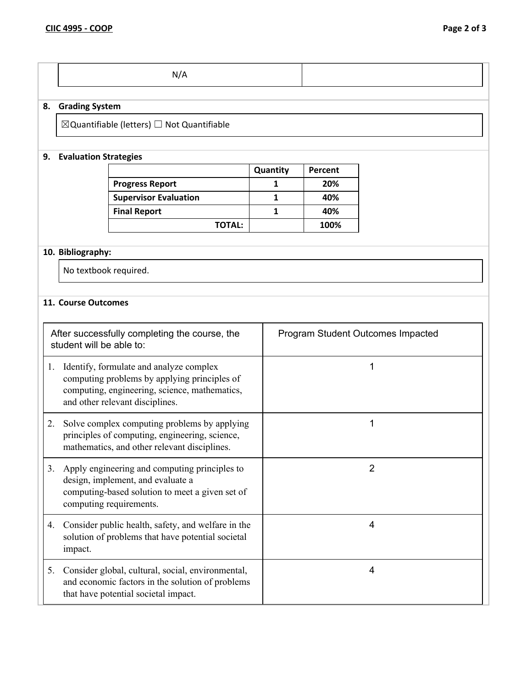|--|--|--|

# **8. Grading System**

 $\boxtimes$ Quantifiable (letters)  $\Box$  Not Quantifiable

# **9. Evaluation Strategies**

|                              | Quantity | Percent |
|------------------------------|----------|---------|
| <b>Progress Report</b>       |          | 20%     |
| <b>Supervisor Evaluation</b> |          | 40%     |
| <b>Final Report</b>          |          | 40%     |
| <b>TOTAL:</b>                |          | 100%    |

# **10. Bibliography:**

No textbook required.

### **11. Course Outcomes**

|    | After successfully completing the course, the<br>student will be able to:                                                                                                   | Program Student Outcomes Impacted |
|----|-----------------------------------------------------------------------------------------------------------------------------------------------------------------------------|-----------------------------------|
| 1. | Identify, formulate and analyze complex<br>computing problems by applying principles of<br>computing, engineering, science, mathematics,<br>and other relevant disciplines. | 1                                 |
| 2. | Solve complex computing problems by applying<br>principles of computing, engineering, science,<br>mathematics, and other relevant disciplines.                              | 1                                 |
| 3. | Apply engineering and computing principles to<br>design, implement, and evaluate a<br>computing-based solution to meet a given set of<br>computing requirements.            | 2                                 |
|    | 4. Consider public health, safety, and welfare in the<br>solution of problems that have potential societal<br>impact.                                                       | 4                                 |
|    | 5. Consider global, cultural, social, environmental,<br>and economic factors in the solution of problems<br>that have potential societal impact.                            | $\overline{4}$                    |